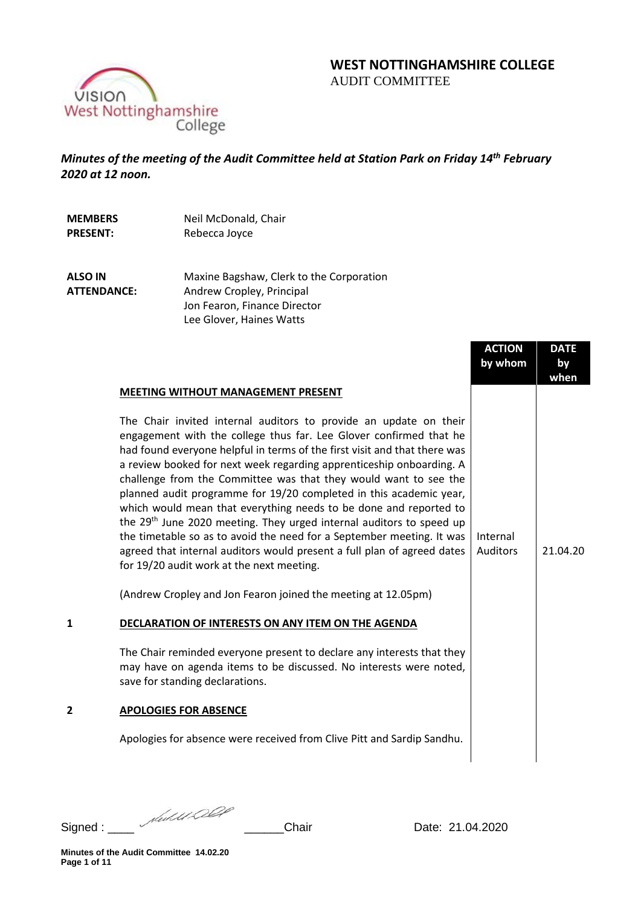# **WEST NOTTINGHAMSHIRE COLLEGE**  AUDIT COMMITTEE



*Minutes of the meeting of the Audit Committee held at Station Park on Friday 14th February 2020 at 12 noon.* 

**MEMBERS PRESENT:** Neil McDonald, Chair

Rebecca Joyce

**ALSO IN ATTENDANCE:**

Maxine Bagshaw, Clerk to the Corporation Andrew Cropley, Principal Jon Fearon, Finance Director Lee Glover, Haines Watts

|                                                                                                                                                                                                                                                                                                                                                                                                                                                                                                                                                                                                                                                                                                                                                                                                                                                                                                                                                                                                                                                                                                                                                                                                                                                                   | <b>ACTION</b><br>by whom | <b>DATE</b><br>by<br>when |
|-------------------------------------------------------------------------------------------------------------------------------------------------------------------------------------------------------------------------------------------------------------------------------------------------------------------------------------------------------------------------------------------------------------------------------------------------------------------------------------------------------------------------------------------------------------------------------------------------------------------------------------------------------------------------------------------------------------------------------------------------------------------------------------------------------------------------------------------------------------------------------------------------------------------------------------------------------------------------------------------------------------------------------------------------------------------------------------------------------------------------------------------------------------------------------------------------------------------------------------------------------------------|--------------------------|---------------------------|
| <b>MEETING WITHOUT MANAGEMENT PRESENT</b><br>The Chair invited internal auditors to provide an update on their<br>engagement with the college thus far. Lee Glover confirmed that he<br>had found everyone helpful in terms of the first visit and that there was<br>a review booked for next week regarding apprenticeship onboarding. A<br>challenge from the Committee was that they would want to see the<br>planned audit programme for 19/20 completed in this academic year,<br>which would mean that everything needs to be done and reported to<br>the 29 <sup>th</sup> June 2020 meeting. They urged internal auditors to speed up<br>the timetable so as to avoid the need for a September meeting. It was<br>agreed that internal auditors would present a full plan of agreed dates<br>for 19/20 audit work at the next meeting.<br>(Andrew Cropley and Jon Fearon joined the meeting at 12.05pm)<br>DECLARATION OF INTERESTS ON ANY ITEM ON THE AGENDA<br>The Chair reminded everyone present to declare any interests that they<br>may have on agenda items to be discussed. No interests were noted,<br>save for standing declarations.<br><b>APOLOGIES FOR ABSENCE</b><br>Apologies for absence were received from Clive Pitt and Sardip Sandhu. | Internal<br>Auditors     | 21.04.20                  |
|                                                                                                                                                                                                                                                                                                                                                                                                                                                                                                                                                                                                                                                                                                                                                                                                                                                                                                                                                                                                                                                                                                                                                                                                                                                                   |                          |                           |

Signed : \_\_\_\_ \_\_\_\_\_\_Chair Date: 21.04.2020

**Minutes of the Audit Committee 14.02.20 Page 1 of 11**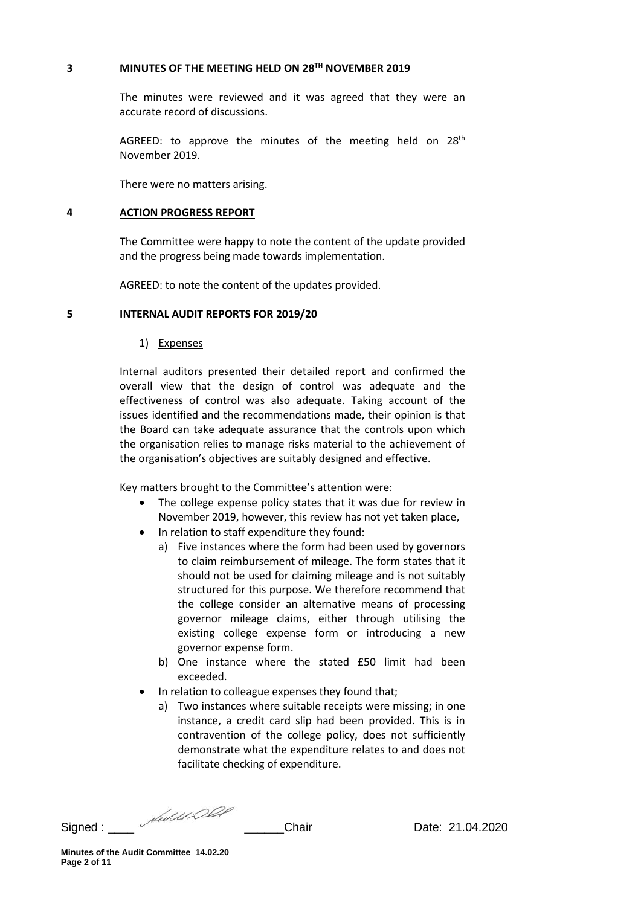# **3 MINUTES OF THE MEETING HELD ON 28TH NOVEMBER 2019**

The minutes were reviewed and it was agreed that they were an accurate record of discussions.

AGREED: to approve the minutes of the meeting held on 28<sup>th</sup> November 2019.

There were no matters arising.

## **4 ACTION PROGRESS REPORT**

The Committee were happy to note the content of the update provided and the progress being made towards implementation.

AGREED: to note the content of the updates provided.

## **5 INTERNAL AUDIT REPORTS FOR 2019/20**

1) Expenses

Internal auditors presented their detailed report and confirmed the overall view that the design of control was adequate and the effectiveness of control was also adequate. Taking account of the issues identified and the recommendations made, their opinion is that the Board can take adequate assurance that the controls upon which the organisation relies to manage risks material to the achievement of the organisation's objectives are suitably designed and effective.

Key matters brought to the Committee's attention were:

- The college expense policy states that it was due for review in November 2019, however, this review has not yet taken place,
- In relation to staff expenditure they found:
	- a) Five instances where the form had been used by governors to claim reimbursement of mileage. The form states that it should not be used for claiming mileage and is not suitably structured for this purpose. We therefore recommend that the college consider an alternative means of processing governor mileage claims, either through utilising the existing college expense form or introducing a new governor expense form.
	- b) One instance where the stated £50 limit had been exceeded.
- In relation to colleague expenses they found that;
	- a) Two instances where suitable receipts were missing; in one instance, a credit card slip had been provided. This is in contravention of the college policy, does not sufficiently demonstrate what the expenditure relates to and does not facilitate checking of expenditure.

Signed : \_\_\_\_ \_\_\_\_\_\_Chair Date: 21.04.2020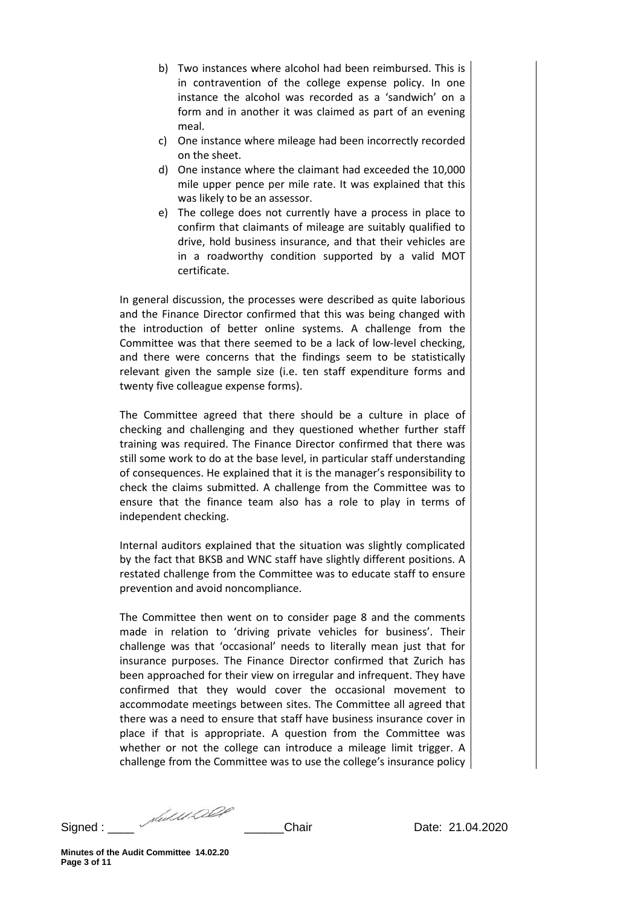- b) Two instances where alcohol had been reimbursed. This is in contravention of the college expense policy. In one instance the alcohol was recorded as a 'sandwich' on a form and in another it was claimed as part of an evening meal.
- c) One instance where mileage had been incorrectly recorded on the sheet.
- d) One instance where the claimant had exceeded the 10,000 mile upper pence per mile rate. It was explained that this was likely to be an assessor.
- e) The college does not currently have a process in place to confirm that claimants of mileage are suitably qualified to drive, hold business insurance, and that their vehicles are in a roadworthy condition supported by a valid MOT certificate.

In general discussion, the processes were described as quite laborious and the Finance Director confirmed that this was being changed with the introduction of better online systems. A challenge from the Committee was that there seemed to be a lack of low-level checking, and there were concerns that the findings seem to be statistically relevant given the sample size (i.e. ten staff expenditure forms and twenty five colleague expense forms).

The Committee agreed that there should be a culture in place of checking and challenging and they questioned whether further staff training was required. The Finance Director confirmed that there was still some work to do at the base level, in particular staff understanding of consequences. He explained that it is the manager's responsibility to check the claims submitted. A challenge from the Committee was to ensure that the finance team also has a role to play in terms of independent checking.

Internal auditors explained that the situation was slightly complicated by the fact that BKSB and WNC staff have slightly different positions. A restated challenge from the Committee was to educate staff to ensure prevention and avoid noncompliance.

The Committee then went on to consider page 8 and the comments made in relation to 'driving private vehicles for business'. Their challenge was that 'occasional' needs to literally mean just that for insurance purposes. The Finance Director confirmed that Zurich has been approached for their view on irregular and infrequent. They have confirmed that they would cover the occasional movement to accommodate meetings between sites. The Committee all agreed that there was a need to ensure that staff have business insurance cover in place if that is appropriate. A question from the Committee was whether or not the college can introduce a mileage limit trigger. A challenge from the Committee was to use the college's insurance policy

Signed : \_\_\_\_ \_\_\_\_\_\_Chair Date: 21.04.2020

**Minutes of the Audit Committee 14.02.20 Page 3 of 11**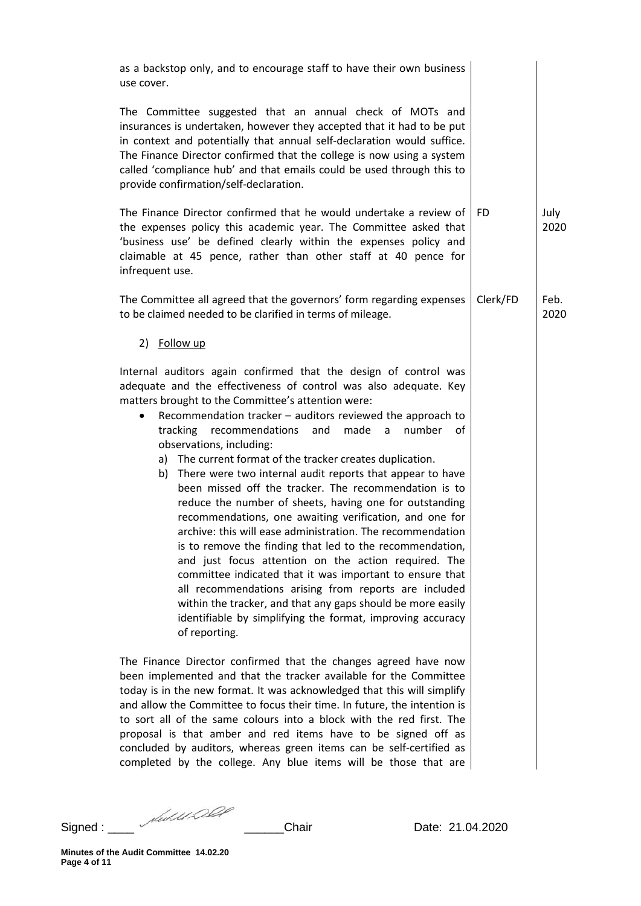| as a backstop only, and to encourage staff to have their own business<br>use cover.                                                                                                                                                                                                                                                                                                                                                                                                                                                                                                                                                                                                                                                                                                                                                                                                                                                                                                                                                                                                                            |           |              |
|----------------------------------------------------------------------------------------------------------------------------------------------------------------------------------------------------------------------------------------------------------------------------------------------------------------------------------------------------------------------------------------------------------------------------------------------------------------------------------------------------------------------------------------------------------------------------------------------------------------------------------------------------------------------------------------------------------------------------------------------------------------------------------------------------------------------------------------------------------------------------------------------------------------------------------------------------------------------------------------------------------------------------------------------------------------------------------------------------------------|-----------|--------------|
| The Committee suggested that an annual check of MOTs and<br>insurances is undertaken, however they accepted that it had to be put<br>in context and potentially that annual self-declaration would suffice.<br>The Finance Director confirmed that the college is now using a system<br>called 'compliance hub' and that emails could be used through this to<br>provide confirmation/self-declaration.                                                                                                                                                                                                                                                                                                                                                                                                                                                                                                                                                                                                                                                                                                        |           |              |
| The Finance Director confirmed that he would undertake a review of<br>the expenses policy this academic year. The Committee asked that<br>'business use' be defined clearly within the expenses policy and<br>claimable at 45 pence, rather than other staff at 40 pence for<br>infrequent use.                                                                                                                                                                                                                                                                                                                                                                                                                                                                                                                                                                                                                                                                                                                                                                                                                | <b>FD</b> | July<br>2020 |
| The Committee all agreed that the governors' form regarding expenses<br>to be claimed needed to be clarified in terms of mileage.                                                                                                                                                                                                                                                                                                                                                                                                                                                                                                                                                                                                                                                                                                                                                                                                                                                                                                                                                                              | Clerk/FD  | Feb.<br>2020 |
| 2) Follow up                                                                                                                                                                                                                                                                                                                                                                                                                                                                                                                                                                                                                                                                                                                                                                                                                                                                                                                                                                                                                                                                                                   |           |              |
| Internal auditors again confirmed that the design of control was<br>adequate and the effectiveness of control was also adequate. Key<br>matters brought to the Committee's attention were:<br>Recommendation tracker - auditors reviewed the approach to<br>tracking recommendations and made<br>a a<br>number of<br>observations, including:<br>a) The current format of the tracker creates duplication.<br>b) There were two internal audit reports that appear to have<br>been missed off the tracker. The recommendation is to<br>reduce the number of sheets, having one for outstanding<br>recommendations, one awaiting verification, and one for<br>archive: this will ease administration. The recommendation<br>is to remove the finding that led to the recommendation,<br>and just focus attention on the action required. The<br>committee indicated that it was important to ensure that<br>all recommendations arising from reports are included<br>within the tracker, and that any gaps should be more easily<br>identifiable by simplifying the format, improving accuracy<br>of reporting. |           |              |
| The Finance Director confirmed that the changes agreed have now<br>been implemented and that the tracker available for the Committee<br>today is in the new format. It was acknowledged that this will simplify<br>and allow the Committee to focus their time. In future, the intention is<br>to sort all of the same colours into a block with the red first. The<br>proposal is that amber and red items have to be signed off as<br>concluded by auditors, whereas green items can be self-certified as<br>completed by the college. Any blue items will be those that are                                                                                                                                                                                                                                                                                                                                                                                                                                                                                                                                 |           |              |

Signed : \_\_\_\_ \_\_\_\_\_\_Chair Date: 21.04.2020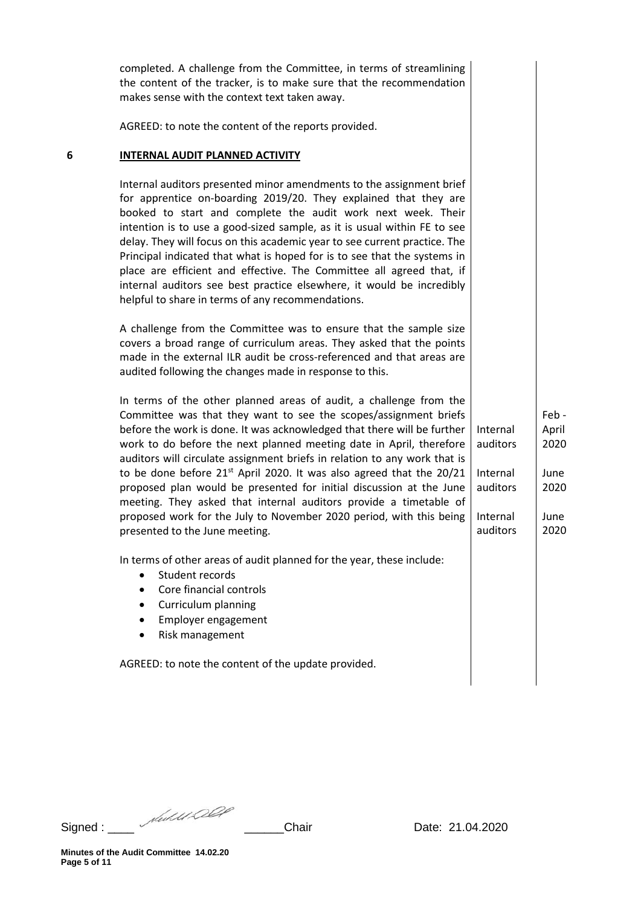|   | completed. A challenge from the Committee, in terms of streamlining<br>the content of the tracker, is to make sure that the recommendation<br>makes sense with the context text taken away.                                                                                                                                                                                                                                                                                                                                                                                                                                                                                                                    |                                                                      |                                                       |
|---|----------------------------------------------------------------------------------------------------------------------------------------------------------------------------------------------------------------------------------------------------------------------------------------------------------------------------------------------------------------------------------------------------------------------------------------------------------------------------------------------------------------------------------------------------------------------------------------------------------------------------------------------------------------------------------------------------------------|----------------------------------------------------------------------|-------------------------------------------------------|
|   | AGREED: to note the content of the reports provided.                                                                                                                                                                                                                                                                                                                                                                                                                                                                                                                                                                                                                                                           |                                                                      |                                                       |
| 6 | <b>INTERNAL AUDIT PLANNED ACTIVITY</b>                                                                                                                                                                                                                                                                                                                                                                                                                                                                                                                                                                                                                                                                         |                                                                      |                                                       |
|   | Internal auditors presented minor amendments to the assignment brief<br>for apprentice on-boarding 2019/20. They explained that they are<br>booked to start and complete the audit work next week. Their<br>intention is to use a good-sized sample, as it is usual within FE to see<br>delay. They will focus on this academic year to see current practice. The<br>Principal indicated that what is hoped for is to see that the systems in<br>place are efficient and effective. The Committee all agreed that, if<br>internal auditors see best practice elsewhere, it would be incredibly<br>helpful to share in terms of any recommendations.                                                            |                                                                      |                                                       |
|   | A challenge from the Committee was to ensure that the sample size<br>covers a broad range of curriculum areas. They asked that the points<br>made in the external ILR audit be cross-referenced and that areas are<br>audited following the changes made in response to this.                                                                                                                                                                                                                                                                                                                                                                                                                                  |                                                                      |                                                       |
|   | In terms of the other planned areas of audit, a challenge from the<br>Committee was that they want to see the scopes/assignment briefs<br>before the work is done. It was acknowledged that there will be further<br>work to do before the next planned meeting date in April, therefore<br>auditors will circulate assignment briefs in relation to any work that is<br>to be done before 21 <sup>st</sup> April 2020. It was also agreed that the 20/21<br>proposed plan would be presented for initial discussion at the June<br>meeting. They asked that internal auditors provide a timetable of<br>proposed work for the July to November 2020 period, with this being<br>presented to the June meeting. | Internal<br>auditors<br>Internal<br>auditors<br>Internal<br>auditors | Feb-<br>April<br>2020<br>June<br>2020<br>June<br>2020 |
|   | In terms of other areas of audit planned for the year, these include:<br>Student records<br>Core financial controls<br>$\bullet$<br>Curriculum planning<br>Employer engagement<br>٠<br>Risk management<br>٠                                                                                                                                                                                                                                                                                                                                                                                                                                                                                                    |                                                                      |                                                       |
|   | AGREED: to note the content of the update provided.                                                                                                                                                                                                                                                                                                                                                                                                                                                                                                                                                                                                                                                            |                                                                      |                                                       |

Signed : \_\_\_\_ \_\_\_\_\_\_Chair Date: 21.04.2020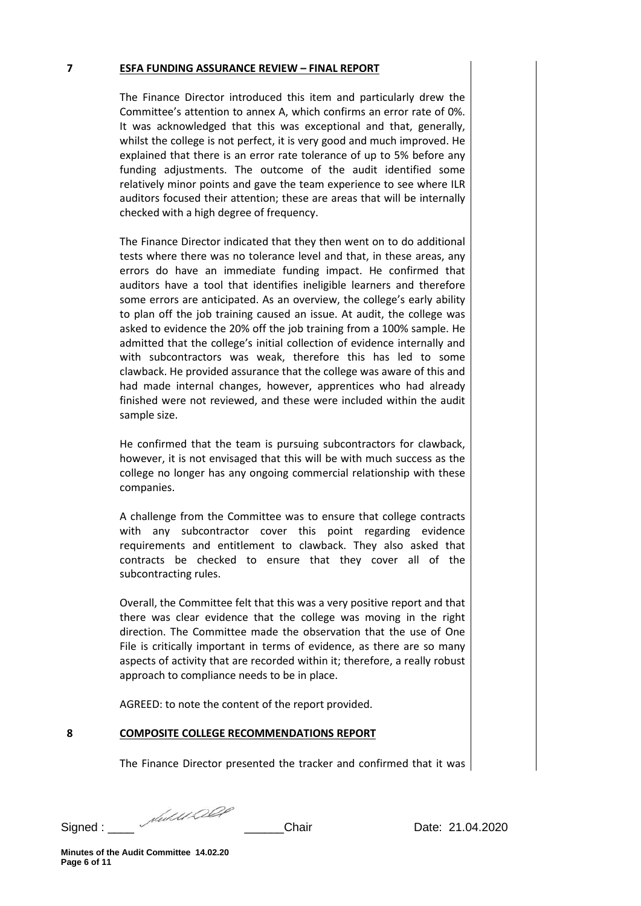# **7 ESFA FUNDING ASSURANCE REVIEW – FINAL REPORT**

The Finance Director introduced this item and particularly drew the Committee's attention to annex A, which confirms an error rate of 0%. It was acknowledged that this was exceptional and that, generally, whilst the college is not perfect, it is very good and much improved. He explained that there is an error rate tolerance of up to 5% before any funding adjustments. The outcome of the audit identified some relatively minor points and gave the team experience to see where ILR auditors focused their attention; these are areas that will be internally checked with a high degree of frequency.

The Finance Director indicated that they then went on to do additional tests where there was no tolerance level and that, in these areas, any errors do have an immediate funding impact. He confirmed that auditors have a tool that identifies ineligible learners and therefore some errors are anticipated. As an overview, the college's early ability to plan off the job training caused an issue. At audit, the college was asked to evidence the 20% off the job training from a 100% sample. He admitted that the college's initial collection of evidence internally and with subcontractors was weak, therefore this has led to some clawback. He provided assurance that the college was aware of this and had made internal changes, however, apprentices who had already finished were not reviewed, and these were included within the audit sample size.

He confirmed that the team is pursuing subcontractors for clawback, however, it is not envisaged that this will be with much success as the college no longer has any ongoing commercial relationship with these companies.

A challenge from the Committee was to ensure that college contracts with any subcontractor cover this point regarding evidence requirements and entitlement to clawback. They also asked that contracts be checked to ensure that they cover all of the subcontracting rules.

Overall, the Committee felt that this was a very positive report and that there was clear evidence that the college was moving in the right direction. The Committee made the observation that the use of One File is critically important in terms of evidence, as there are so many aspects of activity that are recorded within it; therefore, a really robust approach to compliance needs to be in place.

AGREED: to note the content of the report provided.

# **8 COMPOSITE COLLEGE RECOMMENDATIONS REPORT**

The Finance Director presented the tracker and confirmed that it was

Signed : \_\_\_\_ \_\_\_\_\_\_Chair Date: 21.04.2020

**Minutes of the Audit Committee 14.02.20 Page 6 of 11**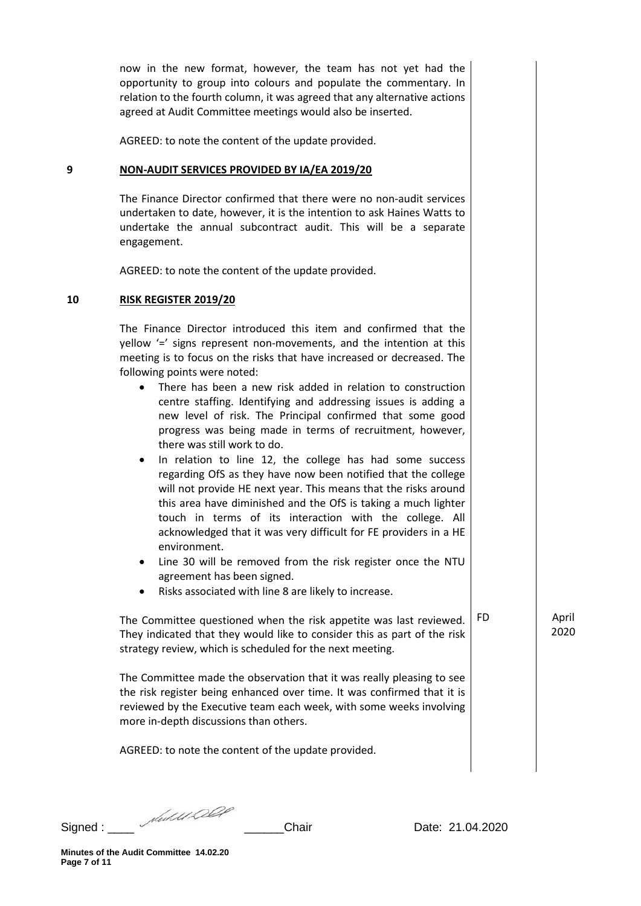now in the new format, however, the team has not yet had the opportunity to group into colours and populate the commentary. In relation to the fourth column, it was agreed that any alternative actions agreed at Audit Committee meetings would also be inserted.

AGREED: to note the content of the update provided.

## **9 NON-AUDIT SERVICES PROVIDED BY IA/EA 2019/20**

The Finance Director confirmed that there were no non-audit services undertaken to date, however, it is the intention to ask Haines Watts to undertake the annual subcontract audit. This will be a separate engagement.

AGREED: to note the content of the update provided.

# **10 RISK REGISTER 2019/20**

The Finance Director introduced this item and confirmed that the yellow '=' signs represent non-movements, and the intention at this meeting is to focus on the risks that have increased or decreased. The following points were noted:

- There has been a new risk added in relation to construction centre staffing. Identifying and addressing issues is adding a new level of risk. The Principal confirmed that some good progress was being made in terms of recruitment, however, there was still work to do.
- In relation to line 12, the college has had some success regarding OfS as they have now been notified that the college will not provide HE next year. This means that the risks around this area have diminished and the OfS is taking a much lighter touch in terms of its interaction with the college. All acknowledged that it was very difficult for FE providers in a HE environment.
- Line 30 will be removed from the risk register once the NTU agreement has been signed.
- Risks associated with line 8 are likely to increase.

The Committee questioned when the risk appetite was last reviewed. They indicated that they would like to consider this as part of the risk strategy review, which is scheduled for the next meeting. FD April

The Committee made the observation that it was really pleasing to see the risk register being enhanced over time. It was confirmed that it is reviewed by the Executive team each week, with some weeks involving more in-depth discussions than others.

AGREED: to note the content of the update provided.

2020

**Minutes of the Audit Committee 14.02.20 Page 7 of 11**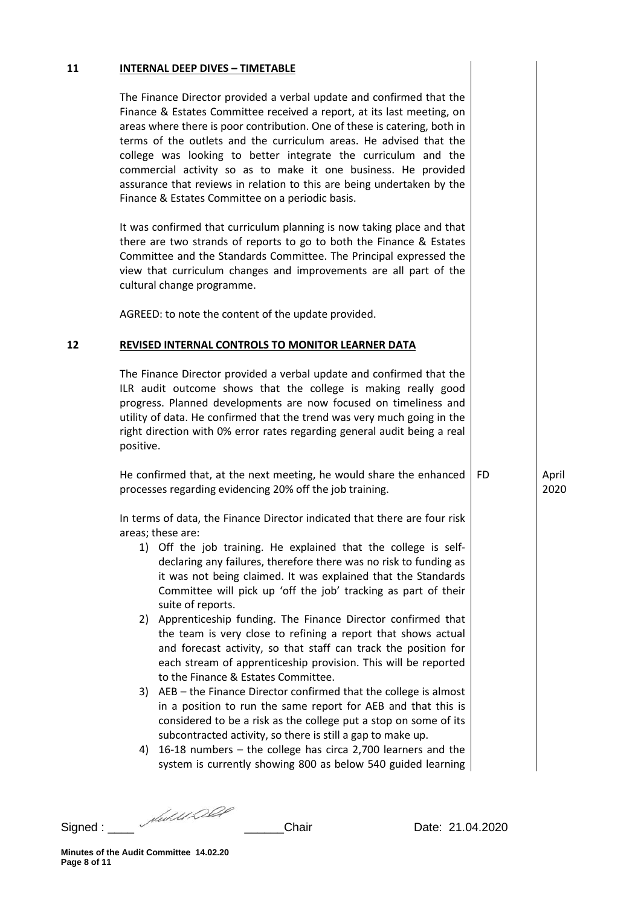#### **11 INTERNAL DEEP DIVES – TIMETABLE**

The Finance Director provided a verbal update and confirmed that the Finance & Estates Committee received a report, at its last meeting, on areas where there is poor contribution. One of these is catering, both in terms of the outlets and the curriculum areas. He advised that the college was looking to better integrate the curriculum and the commercial activity so as to make it one business. He provided assurance that reviews in relation to this are being undertaken by the Finance & Estates Committee on a periodic basis.

It was confirmed that curriculum planning is now taking place and that there are two strands of reports to go to both the Finance & Estates Committee and the Standards Committee. The Principal expressed the view that curriculum changes and improvements are all part of the cultural change programme.

AGREED: to note the content of the update provided.

## **12 REVISED INTERNAL CONTROLS TO MONITOR LEARNER DATA**

The Finance Director provided a verbal update and confirmed that the ILR audit outcome shows that the college is making really good progress. Planned developments are now focused on timeliness and utility of data. He confirmed that the trend was very much going in the right direction with 0% error rates regarding general audit being a real positive.

He confirmed that, at the next meeting, he would share the enhanced processes regarding evidencing 20% off the job training.

In terms of data, the Finance Director indicated that there are four risk areas; these are:

- 1) Off the job training. He explained that the college is selfdeclaring any failures, therefore there was no risk to funding as it was not being claimed. It was explained that the Standards Committee will pick up 'off the job' tracking as part of their suite of reports.
- 2) Apprenticeship funding. The Finance Director confirmed that the team is very close to refining a report that shows actual and forecast activity, so that staff can track the position for each stream of apprenticeship provision. This will be reported to the Finance & Estates Committee.
- 3) AEB the Finance Director confirmed that the college is almost in a position to run the same report for AEB and that this is considered to be a risk as the college put a stop on some of its subcontracted activity, so there is still a gap to make up.
- 4) 16-18 numbers the college has circa 2,700 learners and the system is currently showing 800 as below 540 guided learning

Signed : \_\_\_\_ \_\_\_\_\_\_Chair Date: 21.04.2020

FD April 2020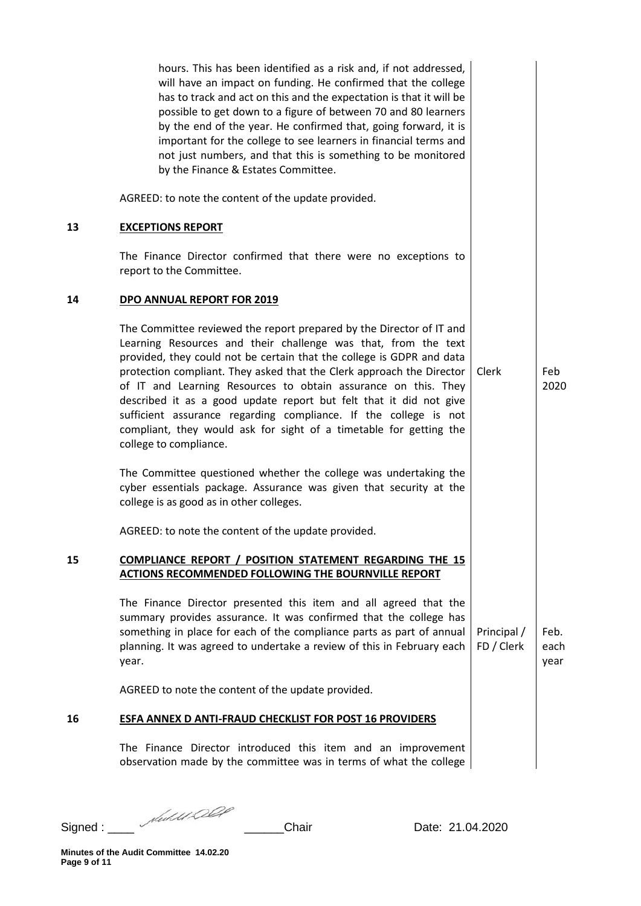|    | hours. This has been identified as a risk and, if not addressed,<br>will have an impact on funding. He confirmed that the college<br>has to track and act on this and the expectation is that it will be<br>possible to get down to a figure of between 70 and 80 learners<br>by the end of the year. He confirmed that, going forward, it is<br>important for the college to see learners in financial terms and<br>not just numbers, and that this is something to be monitored<br>by the Finance & Estates Committee.                                                                             |                           |                      |
|----|------------------------------------------------------------------------------------------------------------------------------------------------------------------------------------------------------------------------------------------------------------------------------------------------------------------------------------------------------------------------------------------------------------------------------------------------------------------------------------------------------------------------------------------------------------------------------------------------------|---------------------------|----------------------|
|    | AGREED: to note the content of the update provided.                                                                                                                                                                                                                                                                                                                                                                                                                                                                                                                                                  |                           |                      |
| 13 | <b>EXCEPTIONS REPORT</b>                                                                                                                                                                                                                                                                                                                                                                                                                                                                                                                                                                             |                           |                      |
|    | The Finance Director confirmed that there were no exceptions to<br>report to the Committee.                                                                                                                                                                                                                                                                                                                                                                                                                                                                                                          |                           |                      |
| 14 | DPO ANNUAL REPORT FOR 2019                                                                                                                                                                                                                                                                                                                                                                                                                                                                                                                                                                           |                           |                      |
|    | The Committee reviewed the report prepared by the Director of IT and<br>Learning Resources and their challenge was that, from the text<br>provided, they could not be certain that the college is GDPR and data<br>protection compliant. They asked that the Clerk approach the Director<br>of IT and Learning Resources to obtain assurance on this. They<br>described it as a good update report but felt that it did not give<br>sufficient assurance regarding compliance. If the college is not<br>compliant, they would ask for sight of a timetable for getting the<br>college to compliance. | Clerk                     | Feb<br>2020          |
|    | The Committee questioned whether the college was undertaking the<br>cyber essentials package. Assurance was given that security at the<br>college is as good as in other colleges.                                                                                                                                                                                                                                                                                                                                                                                                                   |                           |                      |
|    | AGREED: to note the content of the update provided.                                                                                                                                                                                                                                                                                                                                                                                                                                                                                                                                                  |                           |                      |
| 15 | <b>COMPLIANCE REPORT / POSITION STATEMENT REGARDING THE 15</b><br><b>ACTIONS RECOMMENDED FOLLOWING THE BOURNVILLE REPORT</b>                                                                                                                                                                                                                                                                                                                                                                                                                                                                         |                           |                      |
|    | The Finance Director presented this item and all agreed that the<br>summary provides assurance. It was confirmed that the college has<br>something in place for each of the compliance parts as part of annual<br>planning. It was agreed to undertake a review of this in February each<br>year.                                                                                                                                                                                                                                                                                                    | Principal /<br>FD / Clerk | Feb.<br>each<br>year |
|    | AGREED to note the content of the update provided.                                                                                                                                                                                                                                                                                                                                                                                                                                                                                                                                                   |                           |                      |
| 16 | <b>ESFA ANNEX D ANTI-FRAUD CHECKLIST FOR POST 16 PROVIDERS</b>                                                                                                                                                                                                                                                                                                                                                                                                                                                                                                                                       |                           |                      |
|    | The Finance Director introduced this item and an improvement<br>observation made by the committee was in terms of what the college                                                                                                                                                                                                                                                                                                                                                                                                                                                                   |                           |                      |

Signed : \_\_\_\_ \_\_\_\_\_\_Chair Date: 21.04.2020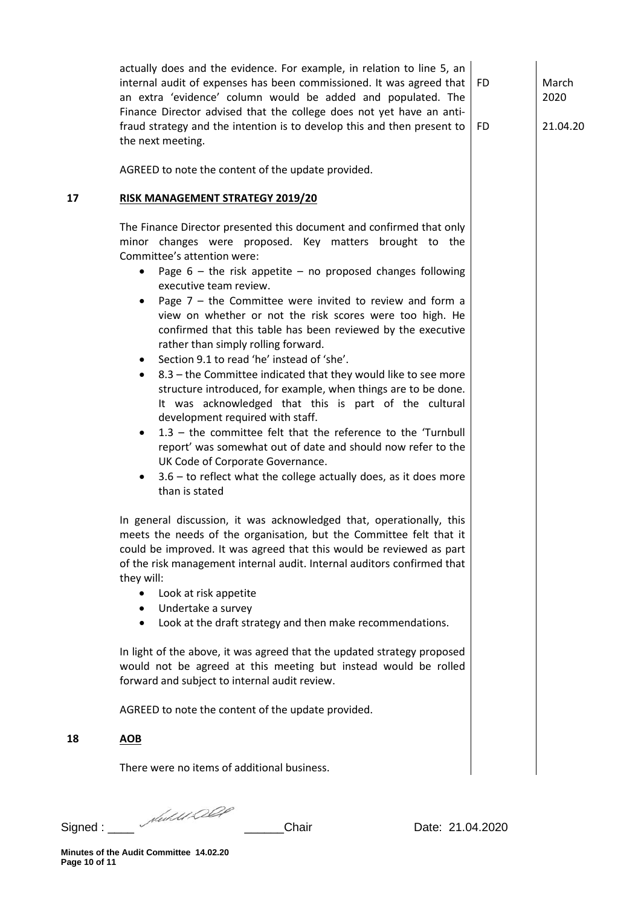actually does and the evidence. For example, in relation to line 5, an internal audit of expenses has been commissioned. It was agreed that an extra 'evidence' column would be added and populated. The Finance Director advised that the college does not yet have an antifraud strategy and the intention is to develop this and then present to the next meeting.

March 2020

FD

FD

21.04.20

AGREED to note the content of the update provided.

# **17 RISK MANAGEMENT STRATEGY 2019/20**

The Finance Director presented this document and confirmed that only minor changes were proposed. Key matters brought to the Committee's attention were:

- Page  $6 -$  the risk appetite no proposed changes following executive team review.
- Page  $7 -$  the Committee were invited to review and form a view on whether or not the risk scores were too high. He confirmed that this table has been reviewed by the executive rather than simply rolling forward.
- Section 9.1 to read 'he' instead of 'she'.
- 8.3 the Committee indicated that they would like to see more structure introduced, for example, when things are to be done. It was acknowledged that this is part of the cultural development required with staff.
- 1.3 the committee felt that the reference to the 'Turnbull report' was somewhat out of date and should now refer to the UK Code of Corporate Governance.
- $3.6 -$  to reflect what the college actually does, as it does more than is stated

In general discussion, it was acknowledged that, operationally, this meets the needs of the organisation, but the Committee felt that it could be improved. It was agreed that this would be reviewed as part of the risk management internal audit. Internal auditors confirmed that they will:

- Look at risk appetite
- Undertake a survey
- Look at the draft strategy and then make recommendations.

In light of the above, it was agreed that the updated strategy proposed would not be agreed at this meeting but instead would be rolled forward and subject to internal audit review.

AGREED to note the content of the update provided.

**18 AOB**

There were no items of additional business.

Signed : \_\_\_\_ \_\_\_\_\_\_Chair Date: 21.04.2020

**Minutes of the Audit Committee 14.02.20 Page 10 of 11**